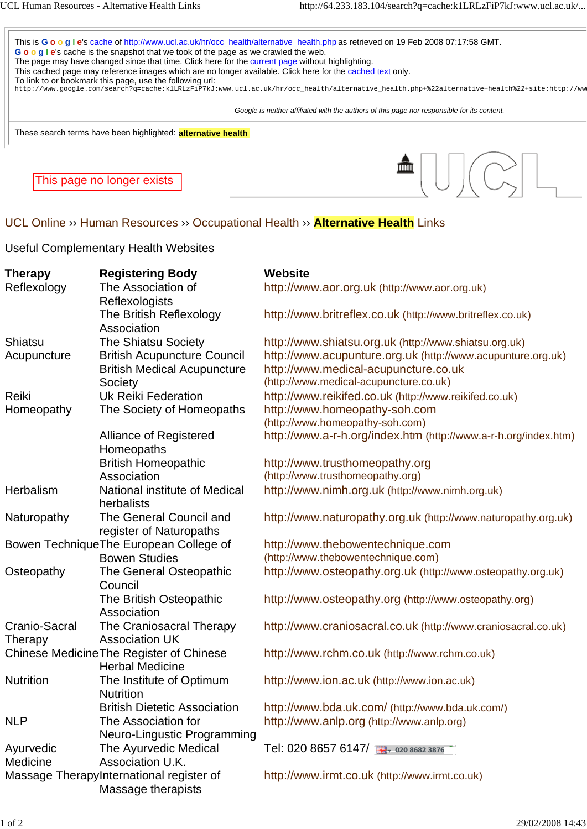

Useful Complementary Health Websites

| <b>Therapy</b>                           | <b>Registering Body</b>                  | <b>Website</b>                                                  |
|------------------------------------------|------------------------------------------|-----------------------------------------------------------------|
| Reflexology                              | The Association of                       | http://www.aor.org.uk (http://www.aor.org.uk)                   |
|                                          | Reflexologists                           |                                                                 |
|                                          | The British Reflexology                  | http://www.britreflex.co.uk (http://www.britreflex.co.uk)       |
|                                          | Association                              |                                                                 |
| Shiatsu                                  | <b>The Shiatsu Society</b>               | http://www.shiatsu.org.uk (http://www.shiatsu.org.uk)           |
| Acupuncture                              | <b>British Acupuncture Council</b>       | http://www.acupunture.org.uk (http://www.acupunture.org.uk)     |
|                                          | <b>British Medical Acupuncture</b>       | http://www.medical-acupuncture.co.uk                            |
|                                          | Society                                  | (http://www.medical-acupuncture.co.uk)                          |
| Reiki                                    | <b>Uk Reiki Federation</b>               | http://www.reikifed.co.uk (http://www.reikifed.co.uk)           |
| Homeopathy                               | The Society of Homeopaths                | http://www.homeopathy-soh.com                                   |
|                                          |                                          | (http://www.homeopathy-soh.com)                                 |
|                                          | Alliance of Registered                   | http://www.a-r-h.org/index.htm (http://www.a-r-h.org/index.htm) |
|                                          | Homeopaths                               |                                                                 |
|                                          | <b>British Homeopathic</b>               | http://www.trusthomeopathy.org                                  |
|                                          | Association                              | (http://www.trusthomeopathy.org)                                |
| Herbalism                                | National institute of Medical            | http://www.nimh.org.uk (http://www.nimh.org.uk)                 |
|                                          | herbalists                               |                                                                 |
| Naturopathy                              | The General Council and                  | http://www.naturopathy.org.uk (http://www.naturopathy.org.uk)   |
|                                          | register of Naturopaths                  |                                                                 |
| Bowen Technique The European College of  |                                          | http://www.thebowentechnique.com                                |
|                                          | <b>Bowen Studies</b>                     | (http://www.thebowentechnique.com)                              |
| Osteopathy                               | The General Osteopathic                  | http://www.osteopathy.org.uk (http://www.osteopathy.org.uk)     |
|                                          | Council                                  |                                                                 |
|                                          | The British Osteopathic                  | http://www.osteopathy.org (http://www.osteopathy.org)           |
|                                          | Association                              |                                                                 |
| Cranio-Sacral                            | The Craniosacral Therapy                 | http://www.craniosacral.co.uk (http://www.craniosacral.co.uk)   |
| Therapy                                  | <b>Association UK</b>                    |                                                                 |
| Chinese Medicine The Register of Chinese |                                          | http://www.rchm.co.uk (http://www.rchm.co.uk)                   |
|                                          | <b>Herbal Medicine</b>                   |                                                                 |
| <b>Nutrition</b>                         | The Institute of Optimum                 | http://www.ion.ac.uk (http://www.ion.ac.uk)                     |
|                                          | <b>Nutrition</b>                         |                                                                 |
|                                          | <b>British Dietetic Association</b>      | http://www.bda.uk.com/ (http://www.bda.uk.com/)                 |
| <b>NLP</b>                               | The Association for                      | http://www.anlp.org (http://www.anlp.org)                       |
|                                          | Neuro-Lingustic Programming              |                                                                 |
| Ayurvedic                                | The Ayurvedic Medical                    | Tel: 020 8657 6147/                                             |
| Medicine<br>Association U.K.             |                                          |                                                                 |
|                                          | Massage TherapyInternational register of | http://www.irmt.co.uk (http://www.irmt.co.uk)                   |
|                                          | Massage therapists                       |                                                                 |